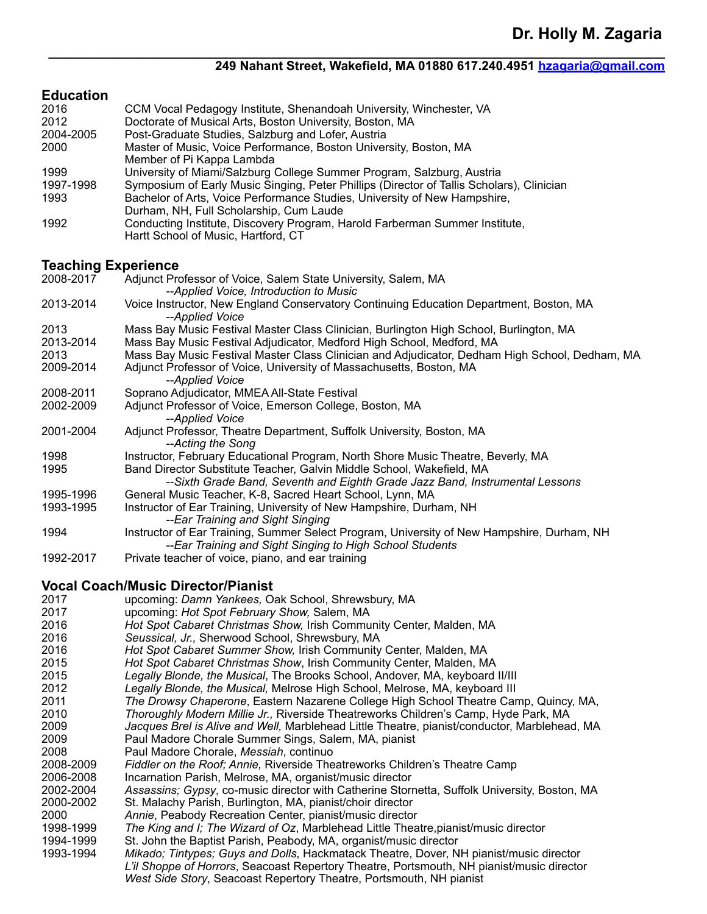### **249 Nahant Street, Wakefield, MA 01880 617.240.4951 [hzagaria@gmail.com](mailto:hzagaria@gmail.com)**

### **Education**

| Luuvuuvii<br>2016          | CCM Vocal Pedagogy Institute, Shenandoah University, Winchester, VA                                       |
|----------------------------|-----------------------------------------------------------------------------------------------------------|
| 2012                       | Doctorate of Musical Arts, Boston University, Boston, MA                                                  |
| 2004-2005                  | Post-Graduate Studies, Salzburg and Lofer, Austria                                                        |
| 2000                       | Master of Music, Voice Performance, Boston University, Boston, MA                                         |
|                            | Member of Pi Kappa Lambda                                                                                 |
| 1999                       | University of Miami/Salzburg College Summer Program, Salzburg, Austria                                    |
| 1997-1998                  | Symposium of Early Music Singing, Peter Phillips (Director of Tallis Scholars), Clinician                 |
| 1993                       | Bachelor of Arts, Voice Performance Studies, University of New Hampshire,                                 |
|                            | Durham, NH, Full Scholarship, Cum Laude                                                                   |
| 1992                       | Conducting Institute, Discovery Program, Harold Farberman Summer Institute,                               |
|                            | Hartt School of Music, Hartford, CT                                                                       |
| <b>Teaching Experience</b> |                                                                                                           |
| 2008-2017                  | Adjunct Professor of Voice, Salem State University, Salem, MA                                             |
|                            | --Applied Voice, Introduction to Music                                                                    |
| 2013-2014                  | Voice Instructor, New England Conservatory Continuing Education Department, Boston, MA<br>--Applied Voice |
| 2013                       | Mass Bay Music Festival Master Class Clinician, Burlington High School, Burlington, MA                    |
| 2013-2014                  | Mass Bay Music Festival Adjudicator, Medford High School, Medford, MA                                     |
| 2013                       | Mass Bay Music Festival Master Class Clinician and Adjudicator, Dedham High School, Dedham, MA            |
| 2009-2014                  | Adjunct Professor of Voice, University of Massachusetts, Boston, MA                                       |
|                            | --Applied Voice                                                                                           |
| 2008-2011                  | Soprano Adjudicator, MMEA All-State Festival                                                              |
| 2002-2009                  | Adjunct Professor of Voice, Emerson College, Boston, MA                                                   |
|                            | --Applied Voice                                                                                           |
| 2001-2004                  | Adjunct Professor, Theatre Department, Suffolk University, Boston, MA                                     |
|                            | --Acting the Song                                                                                         |
| 1998                       | Instructor, February Educational Program, North Shore Music Theatre, Beverly, MA                          |
| 1995                       | Band Director Substitute Teacher, Galvin Middle School, Wakefield, MA                                     |
|                            | --Sixth Grade Band, Seventh and Eighth Grade Jazz Band, Instrumental Lessons                              |
| 1995-1996                  | General Music Teacher, K-8, Sacred Heart School, Lynn, MA                                                 |
| 1993-1995                  | Instructor of Ear Training, University of New Hampshire, Durham, NH                                       |
|                            | --Ear Training and Sight Singing                                                                          |
| 1994                       | Instructor of Ear Training, Summer Select Program, University of New Hampshire, Durham, NH                |
|                            | --Ear Training and Sight Singing to High School Students                                                  |
| 1992-2017                  | Private teacher of voice, piano, and ear training                                                         |
|                            | <b>Vocal Coach/Music Director/Pianist</b>                                                                 |
| 2017                       | upcoming: Damn Yankees, Oak School, Shrewsbury, MA                                                        |
| 2017                       | upcoming: Hot Spot February Show, Salem, MA                                                               |
| 2016                       | Hot Spot Cabaret Christmas Show, Irish Community Center, Malden, MA                                       |
| 2016                       | Seussical, Jr., Sherwood School, Shrewsbury, MA                                                           |
| <b>0016</b>                | Het Spot Cabaret Summar Show Irish Community Contar Moldon, MA                                            |

**\_\_\_\_\_\_\_\_\_\_\_\_\_\_\_\_\_\_\_\_\_\_\_\_\_\_\_\_\_\_\_\_\_\_\_\_\_\_\_\_\_\_\_\_\_\_\_\_\_\_\_\_\_\_\_\_\_\_\_\_\_\_\_\_\_\_\_\_\_\_\_\_\_\_\_\_\_\_\_\_**

2016 *Hot Spot Cabaret Summer Show,* Irish Community Center, Malden, MA

2015 *Hot Spot Cabaret Christmas Show*, Irish Community Center, Malden, MA

- 2015 *Legally Blonde, the Musical*, The Brooks School, Andover, MA, keyboard II/III
- 2012 *Legally Blonde, the Musical,* Melrose High School, Melrose, MA, keyboard III
- 2011 *The Drowsy Chaperone*, Eastern Nazarene College High School Theatre Camp, Quincy, MA,
- 2010 *Thoroughly Modern Millie Jr.,* Riverside Theatreworks Children's Camp, Hyde Park, MA
- 2009 *Jacques Brel is Alive and Well,* Marblehead Little Theatre, pianist/conductor, Marblehead, MA
- 2009 Paul Madore Chorale Summer Sings, Salem, MA, pianist
- 2008 Paul Madore Chorale, *Messiah*, continuo
- 2008-2009 *Fiddler on the Roof; Annie,* Riverside Theatreworks Children's Theatre Camp
- 2006-2008 Incarnation Parish, Melrose, MA, organist/music director<br>2002-2004 Assassins: Gvpsv. co-music director with Catherine Storr

2002-2004 *Assassins; Gypsy*, co-music director with Catherine Stornetta, Suffolk University, Boston, MA

- 2000-2002 St. Malachy Parish, Burlington, MA, pianist/choir director
- 2000 *Annie*, Peabody Recreation Center, pianist/music director
- The King and I; The Wizard of Oz, Marblehead Little Theatre, pianist/music director
- 1994-1999 St. John the Baptist Parish, Peabody, MA, organist/music director
- 1993-1994 *Mikado; Tintypes; Guys and Dolls*, Hackmatack Theatre, Dover, NH pianist/music director *L'il Shoppe of Horrors*, Seacoast Repertory Theatre, Portsmouth, NH pianist/music director *West Side Story*, Seacoast Repertory Theatre, Portsmouth, NH pianist